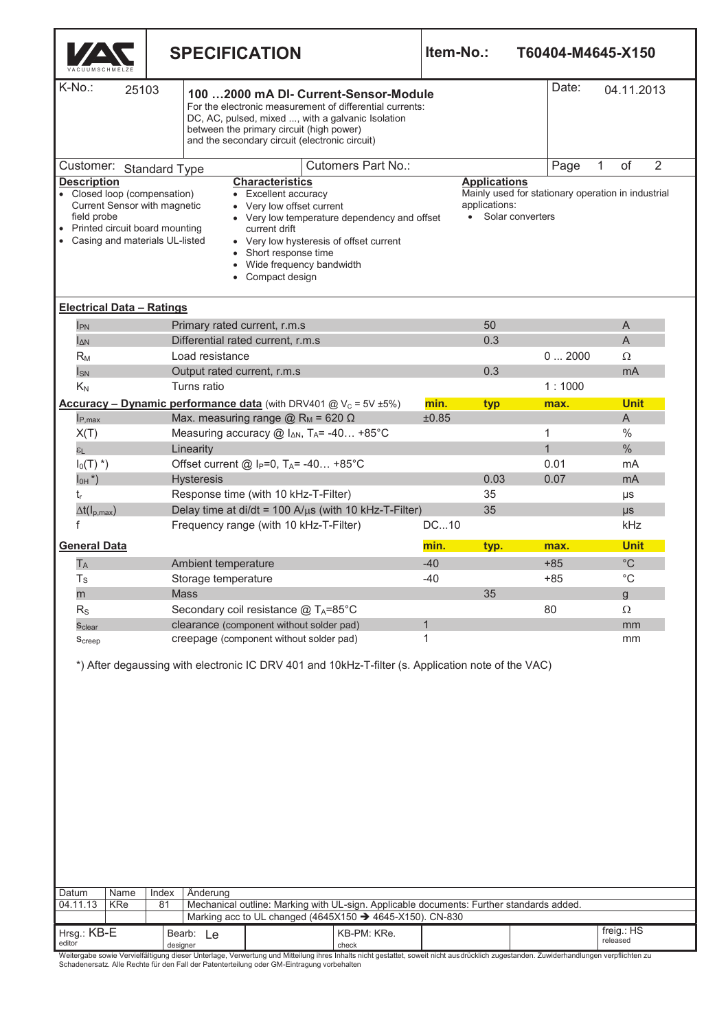|                                                                                                                                                                                                                                                                                                                                                                                                                                                                                                                                                                          |                                                                  | <b>SPECIFICATION</b>                                                                                                                    |                                                                                 |               | Item-No.:<br>T60404-M4645-X150 |  |              |                     |                        |                |  |
|--------------------------------------------------------------------------------------------------------------------------------------------------------------------------------------------------------------------------------------------------------------------------------------------------------------------------------------------------------------------------------------------------------------------------------------------------------------------------------------------------------------------------------------------------------------------------|------------------------------------------------------------------|-----------------------------------------------------------------------------------------------------------------------------------------|---------------------------------------------------------------------------------|---------------|--------------------------------|--|--------------|---------------------|------------------------|----------------|--|
| K-No.:<br>25103<br>100  2000 mA DI- Current-Sensor-Module<br>For the electronic measurement of differential currents:<br>DC, AC, pulsed, mixed , with a galvanic Isolation<br>between the primary circuit (high power)<br>and the secondary circuit (electronic circuit)                                                                                                                                                                                                                                                                                                 |                                                                  |                                                                                                                                         |                                                                                 |               |                                |  |              | Date:<br>04.11.2013 |                        |                |  |
| <b>Cutomers Part No.:</b><br>Customer: Standard Type                                                                                                                                                                                                                                                                                                                                                                                                                                                                                                                     |                                                                  |                                                                                                                                         |                                                                                 |               |                                |  | Page         | $\mathbf{1}$        | of                     | $\overline{2}$ |  |
| <b>Description</b><br><b>Characteristics</b><br><b>Applications</b><br>Mainly used for stationary operation in industrial<br>• Closed loop (compensation)<br>• Excellent accuracy<br>Current Sensor with magnetic<br>applications:<br>• Very low offset current<br>• Solar converters<br>field probe<br>• Very low temperature dependency and offset<br>Printed circuit board mounting<br>current drift<br>Casing and materials UL-listed<br>• Very low hysteresis of offset current<br>• Short response time<br>Wide frequency bandwidth<br>Compact design<br>$\bullet$ |                                                                  |                                                                                                                                         |                                                                                 |               |                                |  |              |                     |                        |                |  |
| <b>Electrical Data - Ratings</b>                                                                                                                                                                                                                                                                                                                                                                                                                                                                                                                                         |                                                                  |                                                                                                                                         |                                                                                 |               |                                |  |              |                     |                        |                |  |
| $I_{PN}$                                                                                                                                                                                                                                                                                                                                                                                                                                                                                                                                                                 |                                                                  | Primary rated current, r.m.s                                                                                                            |                                                                                 |               | 50                             |  |              |                     | A                      |                |  |
| $I_{\Delta N}$                                                                                                                                                                                                                                                                                                                                                                                                                                                                                                                                                           |                                                                  | Differential rated current, r.m.s                                                                                                       |                                                                                 |               | 0.3                            |  |              |                     | A                      |                |  |
| $R_M$                                                                                                                                                                                                                                                                                                                                                                                                                                                                                                                                                                    | Load resistance                                                  |                                                                                                                                         |                                                                                 |               |                                |  | 02000        |                     | Ω                      |                |  |
| $I_{SN}$                                                                                                                                                                                                                                                                                                                                                                                                                                                                                                                                                                 | Output rated current, r.m.s<br>Turns ratio                       |                                                                                                                                         |                                                                                 |               | 0.3                            |  | 1:1000       |                     | mA                     |                |  |
| $K_N$                                                                                                                                                                                                                                                                                                                                                                                                                                                                                                                                                                    |                                                                  |                                                                                                                                         |                                                                                 |               |                                |  |              |                     | <b>Unit</b>            |                |  |
| $I_{P,max}$                                                                                                                                                                                                                                                                                                                                                                                                                                                                                                                                                              |                                                                  | <b>Accuracy – Dynamic performance data</b> (with DRV401 $@V_c = 5V \pm 5\%$ )<br>Max. measuring range $@$ R <sub>M</sub> = 620 $\Omega$ |                                                                                 | min.<br>±0.85 | typ                            |  | max.         |                     | A                      |                |  |
| X(T)                                                                                                                                                                                                                                                                                                                                                                                                                                                                                                                                                                     |                                                                  | Measuring accuracy $@$ $I_{\Delta N}$ , T <sub>A</sub> = -40 +85°C                                                                      |                                                                                 |               |                                |  | 1            |                     | $\%$                   |                |  |
| $\epsilon$ L                                                                                                                                                                                                                                                                                                                                                                                                                                                                                                                                                             | Linearity                                                        |                                                                                                                                         |                                                                                 |               |                                |  | $\mathbf{1}$ |                     | $\%$                   |                |  |
| $I_0(T)$ <sup>*</sup> )                                                                                                                                                                                                                                                                                                                                                                                                                                                                                                                                                  |                                                                  | Offset current @ I <sub>P</sub> =0, T <sub>A</sub> = -40 +85°C                                                                          |                                                                                 |               |                                |  | 0.01         |                     | mA                     |                |  |
| $I_{OH}$ *)                                                                                                                                                                                                                                                                                                                                                                                                                                                                                                                                                              | <b>Hysteresis</b>                                                |                                                                                                                                         |                                                                                 |               | 0.03                           |  | 0.07         |                     | mA                     |                |  |
| t,                                                                                                                                                                                                                                                                                                                                                                                                                                                                                                                                                                       |                                                                  | Response time (with 10 kHz-T-Filter)                                                                                                    |                                                                                 |               | 35                             |  |              |                     | $\mu s$                |                |  |
| $\Delta t(I_{\rm p,max})$                                                                                                                                                                                                                                                                                                                                                                                                                                                                                                                                                |                                                                  | Delay time at di/dt = 100 $A/\mu s$ (with 10 kHz-T-Filter)                                                                              |                                                                                 |               | 35                             |  |              |                     | $\mu s$                |                |  |
| Frequency range (with 10 kHz-T-Filter)                                                                                                                                                                                                                                                                                                                                                                                                                                                                                                                                   |                                                                  |                                                                                                                                         |                                                                                 | DC10          |                                |  |              |                     | kHz                    |                |  |
| <b>General Data</b>                                                                                                                                                                                                                                                                                                                                                                                                                                                                                                                                                      |                                                                  |                                                                                                                                         |                                                                                 | min.          | typ.                           |  | max.         |                     | <b>Unit</b>            |                |  |
| $T_A$                                                                                                                                                                                                                                                                                                                                                                                                                                                                                                                                                                    | Ambient temperature                                              |                                                                                                                                         |                                                                                 | $-40$         |                                |  | $+85$        |                     | $^{\circ}$ C           |                |  |
| $T_S$                                                                                                                                                                                                                                                                                                                                                                                                                                                                                                                                                                    | Storage temperature                                              |                                                                                                                                         |                                                                                 | $-40$         |                                |  | $+85$        |                     | $^{\circ}C$            |                |  |
| m                                                                                                                                                                                                                                                                                                                                                                                                                                                                                                                                                                        | Mass                                                             |                                                                                                                                         |                                                                                 |               | 35                             |  |              |                     | g                      |                |  |
| $R_{S}$                                                                                                                                                                                                                                                                                                                                                                                                                                                                                                                                                                  |                                                                  | Secondary coil resistance @ TA=85°C                                                                                                     |                                                                                 |               |                                |  | 80           |                     | Ω                      |                |  |
| Sclear                                                                                                                                                                                                                                                                                                                                                                                                                                                                                                                                                                   |                                                                  | clearance (component without solder pad)                                                                                                |                                                                                 |               |                                |  |              |                     | mm                     |                |  |
| Screep                                                                                                                                                                                                                                                                                                                                                                                                                                                                                                                                                                   |                                                                  | creepage (component without solder pad)                                                                                                 |                                                                                 | 1             |                                |  |              |                     | mm                     |                |  |
|                                                                                                                                                                                                                                                                                                                                                                                                                                                                                                                                                                          |                                                                  | *) After degaussing with electronic IC DRV 401 and 10kHz-T-filter (s. Application note of the VAC)                                      |                                                                                 |               |                                |  |              |                     |                        |                |  |
| Datum<br>Name                                                                                                                                                                                                                                                                                                                                                                                                                                                                                                                                                            | Änderung<br>Index                                                |                                                                                                                                         |                                                                                 |               |                                |  |              |                     |                        |                |  |
| 04.11.13<br>KRe                                                                                                                                                                                                                                                                                                                                                                                                                                                                                                                                                          | 81                                                               | Mechanical outline: Marking with UL-sign. Applicable documents: Further standards added.                                                |                                                                                 |               |                                |  |              |                     |                        |                |  |
| Hrsg.: KB-E<br>editor                                                                                                                                                                                                                                                                                                                                                                                                                                                                                                                                                    | Bearb: Le<br>designer                                            | Marking acc to UL changed (4645X150 → 4645-X150). CN-830                                                                                | KB-PM: KRe.<br>check                                                            |               |                                |  |              |                     | freig.: HS<br>released |                |  |
|                                                                                                                                                                                                                                                                                                                                                                                                                                                                                                                                                                          | Vervielfältigung dieser Unterlage Verwertung und Mitteilung ihre |                                                                                                                                         | labelte nicht geschitet, soweit nicht quedrücklich zugestanden. Zuwiderhandlung |               |                                |  |              |                     |                        |                |  |

Weitergabe sowie Vervielfältigung dieser Unterlage, Verwertung und Mitteilung ihres Inhalts nicht gestattet, soweit nicht ausdrücklich zugestanden. Zuwiderhandlungen verpflichten zu<br>Schadenersatz. Alle Rechte für den Fall